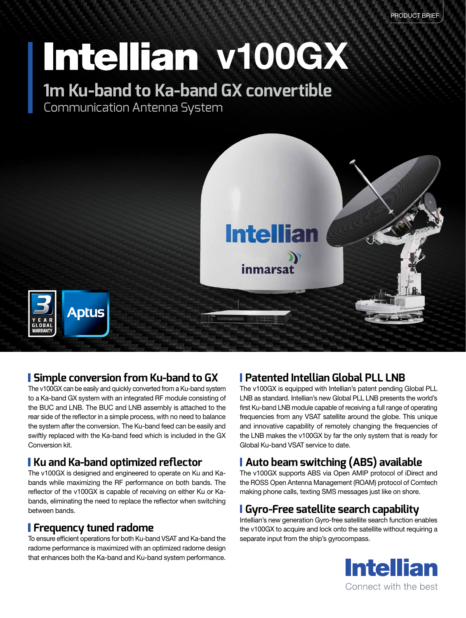# Intellian v100GX

### **1m Ku-band to Ka-band GX convertible**

Communication Antenna System



#### **Simple conversion from Ku-band to GX**

The v100GX can be easily and quickly converted from a Ku-band system to a Ka-band GX system with an integrated RF module consisting of the BUC and LNB. The BUC and LNB assembly is attached to the rear side of the reflector in a simple process, with no need to balance the system after the conversion. The Ku-band feed can be easily and swiftly replaced with the Ka-band feed which is included in the GX Conversion kit.

#### **Ku and Ka-band optimized reflector**

The v100GX is designed and engineered to operate on Ku and Kabands while maximizing the RF performance on both bands. The reflector of the v100GX is capable of receiving on either Ku or Kabands, eliminating the need to replace the reflector when switching between bands.

#### **Frequency tuned radome**

To ensure efficient operations for both Ku-band VSAT and Ka-band the radome performance is maximized with an optimized radome design that enhances both the Ka-band and Ku-band system performance.

#### **Patented Intellian Global PLL LNB**

The v100GX is equipped with Intellian's patent pending Global PLL LNB as standard. Intellian's new Global PLL LNB presents the world's first Ku-band LNB module capable of receiving a full range of operating frequencies from any VSAT satellite around the globe. This unique and innovative capability of remotely changing the frequencies of the LNB makes the v100GX by far the only system that is ready for Global Ku-band VSAT service to date.

#### **Auto beam switching (ABS) available**

The v100GX supports ABS via Open AMIP protocol of iDirect and the ROSS Open Antenna Management (ROAM) protocol of Comtech making phone calls, texting SMS messages just like on shore.

#### **Gyro-Free satellite search capability**

Intellian's new generation Gyro-free satellite search function enables the v100GX to acquire and lock onto the satellite without requiring a separate input from the ship's gyrocompass.